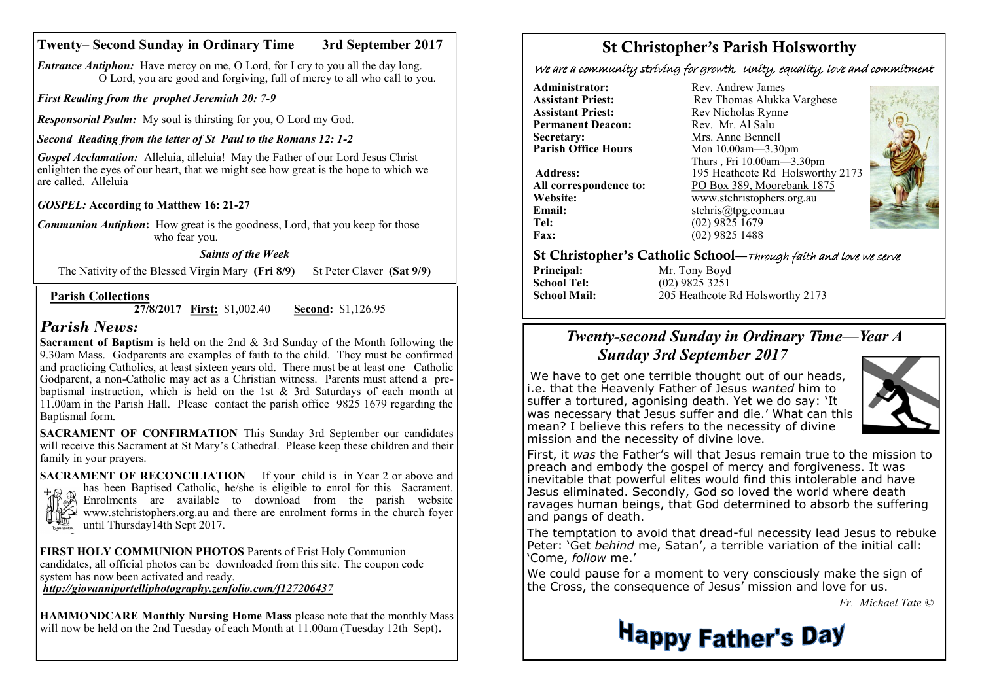### **Twenty– Second Sunday in Ordinary Time 3rd September 2017**

*Entrance Antiphon:* Have mercy on me, O Lord, for I cry to you all the day long. O Lord, you are good and forgiving, full of mercy to all who call to you.

*First Reading from the prophet Jeremiah 20: 7-9*

*Responsorial Psalm:* My soul is thirsting for you, O Lord my God.

#### *Second Reading from the letter of St Paul to the Romans 12: 1-2*

*Gospel Acclamation:* Alleluia, alleluia! May the Father of our Lord Jesus Christ enlighten the eyes of our heart, that we might see how great is the hope to which we are called. Alleluia

*GOSPEL:* **According to Matthew 16: 21-27**

*Communion Antiphon***:** How great is the goodness, Lord, that you keep for those who fear you.

#### *Saints of the Week*

The Nativity of the Blessed Virgin Mary **(Fri 8/9)** St Peter Claver **(Sat 9/9)** 

#### **Parish Collections**

**27/8/2017 First:** \$1,002.40 **Second:** \$1,126.95

## *Parish News:*

**Sacrament of Baptism** is held on the 2nd & 3rd Sunday of the Month following the 9.30am Mass. Godparents are examples of faith to the child. They must be confirmed and practicing Catholics, at least sixteen years old. There must be at least one Catholic Godparent, a non-Catholic may act as a Christian witness. Parents must attend a prebaptismal instruction, which is held on the 1st & 3rd Saturdays of each month at 11.00am in the Parish Hall. Please contact the parish office 9825 1679 regarding the Baptismal form.

**SACRAMENT OF CONFIRMATION** This Sunday 3rd September our candidates will receive this Sacrament at St Mary's Cathedral. Please keep these children and their family in your prayers.

**SACRAMENT OF RECONCILIATION** If your child is in Year 2 or above and has been Baptised Catholic, he/she is eligible to enrol for this Sacrament. Enrolments are available to download from the parish website www.stchristophers.org.au and there are enrolment forms in the church foyer until Thursday14th Sept 2017.

**FIRST HOLY COMMUNION PHOTOS** Parents of Frist Holy Communion candidates, all official photos can be downloaded from this site. The coupon code system has now been activated and ready.

*<http://giovanniportelliphotography.zenfolio.com/f127206437>*

**HAMMONDCARE Monthly Nursing Home Mass** please note that the monthly Mass will now be held on the 2nd Tuesday of each Month at 11.00am (Tuesday 12th Sept)**.**

# St Christopher's Parish Holsworthy

We are a community striving for growth, Unity, equality, love and commitment

**Administrator:** Rev. Andrew James<br> **Assistant Priest:** Rev. Thomas Alukka **Permanent Deacon:**<br>Secretary: **Secretary:** Mrs. Anne Bennell<br> **Parish Office Hours** Mon 10.00am—3.30

**Email:** stchris@tpg.com.au<br> **Tel:** (02) 9825 1679 **Fax:** (02) 9825 1488

**Assistant Priest: Rev Thomas Alukka Varghese**<br>**Assistant Priest: Rev Nicholas Rynne** Rev Nicholas Rynne<br>Rev Mr Al Salu **Parish Office Hours** Mon 10.00am—3.30pm Thurs , Fri 10.00am—3.30pm **Address:** 195 Heathcote Rd Holsworthy 2173 All correspondence to:  $\frac{PO \,Box \, 389, \,Moorebank \, 1875}{www.stchristophers.org.au}$ **Website:** www.stchristophers.org.au<br> **Email:** stchris@tng.com au **Tel:** (02) 9825 1679



St Christopher's Catholic School—Through faith and love we serve

| Mr. Tony Boyd    |
|------------------|
| $(02)$ 9825 3251 |
| 205 Heathcote R  |
|                  |

205 Heathcote Rd Holsworthy 2173

## *Twenty-second Sunday in Ordinary Time—Year A Sunday 3rd September 2017*

We have to get one terrible thought out of our heads, i.e. that the Heavenly Father of Jesus *wanted* him to suffer a tortured, agonising death. Yet we do say: 'It was necessary that Jesus suffer and die.' What can this mean? I believe this refers to the necessity of divine mission and the necessity of divine love.



First, it *was* the Father's will that Jesus remain true to the mission to preach and embody the gospel of mercy and forgiveness. It was inevitable that powerful elites would find this intolerable and have Jesus eliminated. Secondly, God so loved the world where death ravages human beings, that God determined to absorb the suffering and pangs of death.

The temptation to avoid that dread-ful necessity lead Jesus to rebuke Peter: 'Get *behind* me, Satan', a terrible variation of the initial call: 'Come, *follow* me.'

We could pause for a moment to very consciously make the sign of the Cross, the consequence of Jesus' mission and love for us.

 *Fr. Michael Tate ©*